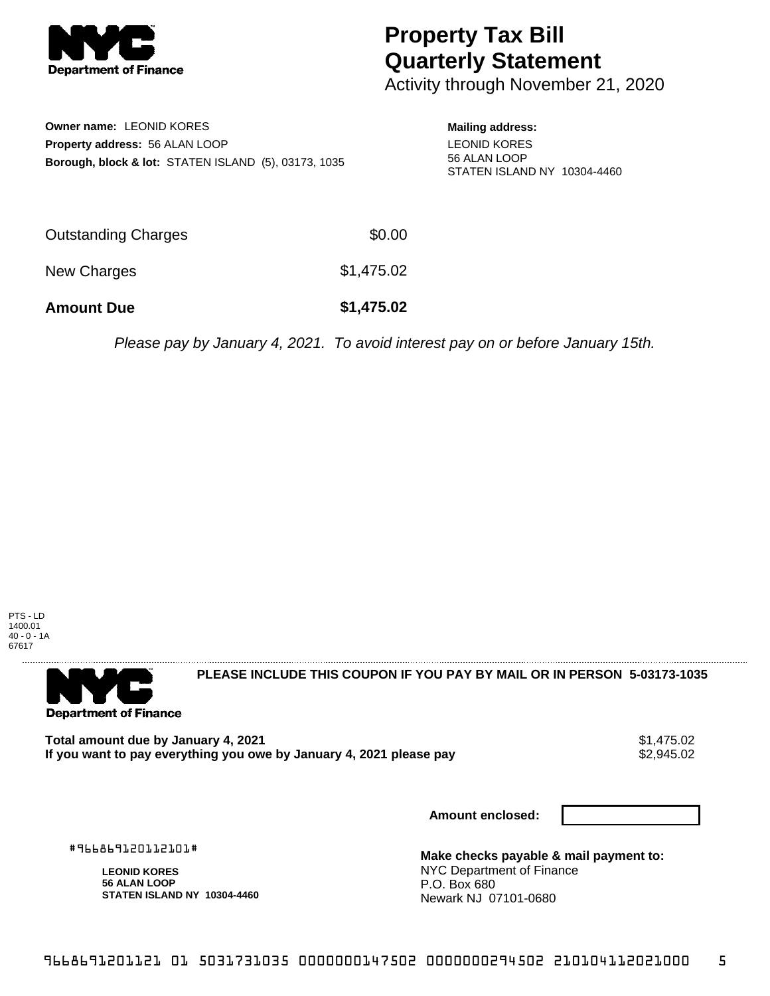

## **Property Tax Bill Quarterly Statement**

Activity through November 21, 2020

**Owner name:** LEONID KORES **Property address:** 56 ALAN LOOP **Borough, block & lot:** STATEN ISLAND (5), 03173, 1035 **Mailing address:** LEONID KORES 56 ALAN LOOP STATEN ISLAND NY 10304-4460

| <b>Amount Due</b>          | \$1,475.02 |
|----------------------------|------------|
| New Charges                | \$1,475.02 |
| <b>Outstanding Charges</b> | \$0.00     |

Please pay by January 4, 2021. To avoid interest pay on or before January 15th.

PTS - LD 1400.01 40 - 0 - 1A 67617



**PLEASE INCLUDE THIS COUPON IF YOU PAY BY MAIL OR IN PERSON 5-03173-1035** 

Total amount due by January 4, 2021<br>If you want to pay everything you owe by January 4, 2021 please pay **show that the set of the set of the set of** If you want to pay everything you owe by January 4, 2021 please pay

**Amount enclosed:**

#966869120112101#

**LEONID KORES 56 ALAN LOOP STATEN ISLAND NY 10304-4460**

**Make checks payable & mail payment to:** NYC Department of Finance P.O. Box 680 Newark NJ 07101-0680